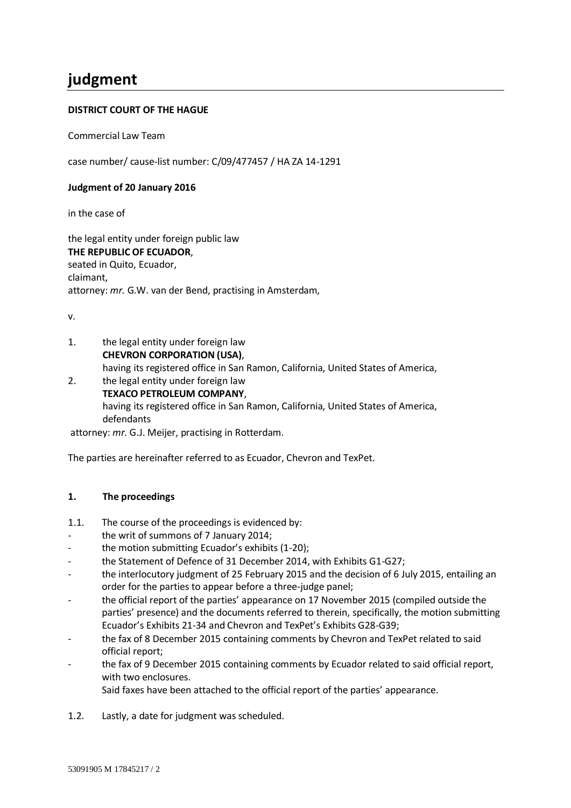# **judgment**

## **DISTRICT COURT OF THE HAGUE**

Commercial Law Team

case number/ cause-list number: C/09/477457 / HA ZA 14-1291

#### **Judgment of 20 January 2016**

in the case of

the legal entity under foreign public law **THE REPUBLIC OF ECUADOR**, seated in Quito, Ecuador, claimant, attorney: *mr.* G.W. van der Bend, practising in Amsterdam,

v.

- 1. the legal entity under foreign law **CHEVRON CORPORATION (USA)**, having its registered office in San Ramon, California, United States of America,
- 2. the legal entity under foreign law **TEXACO PETROLEUM COMPANY**, having its registered office in San Ramon, California, United States of America, defendants

attorney: *mr.* G.J. Meijer, practising in Rotterdam.

The parties are hereinafter referred to as Ecuador, Chevron and TexPet.

### **1. The proceedings**

- 1.1. The course of the proceedings is evidenced by:
- the writ of summons of 7 January 2014;
- the motion submitting Ecuador's exhibits (1-20);
- the Statement of Defence of 31 December 2014, with Exhibits G1-G27;
- the interlocutory judgment of 25 February 2015 and the decision of 6 July 2015, entailing an order for the parties to appear before a three-judge panel;
- the official report of the parties' appearance on 17 November 2015 (compiled outside the parties' presence) and the documents referred to therein, specifically, the motion submitting Ecuador's Exhibits 21-34 and Chevron and TexPet's Exhibits G28-G39;
- the fax of 8 December 2015 containing comments by Chevron and TexPet related to said official report;
- the fax of 9 December 2015 containing comments by Ecuador related to said official report, with two enclosures.

Said faxes have been attached to the official report of the parties' appearance.

1.2. Lastly, a date for judgment was scheduled.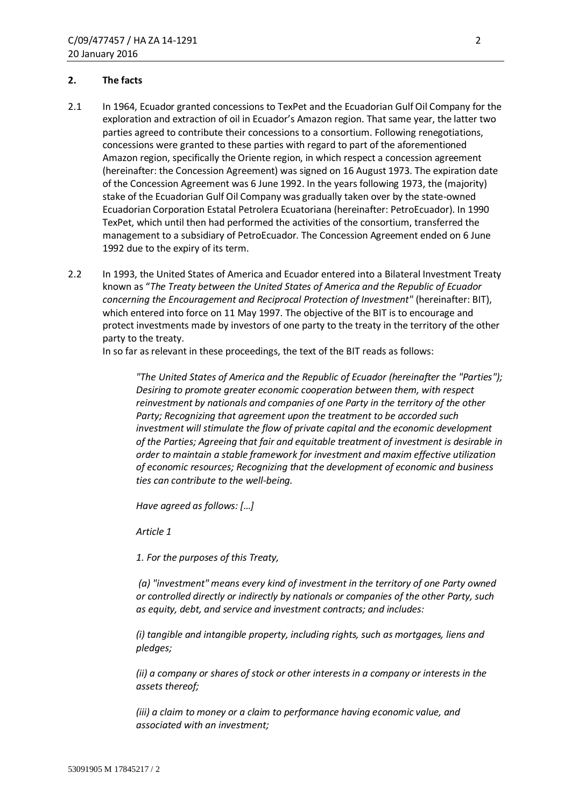## **2. The facts**

- 2.1 In 1964, Ecuador granted concessions to TexPet and the Ecuadorian Gulf Oil Company for the exploration and extraction of oil in Ecuador's Amazon region. That same year, the latter two parties agreed to contribute their concessions to a consortium. Following renegotiations, concessions were granted to these parties with regard to part of the aforementioned Amazon region, specifically the Oriente region, in which respect a concession agreement (hereinafter: the Concession Agreement) was signed on 16 August 1973. The expiration date of the Concession Agreement was 6 June 1992. In the years following 1973, the (majority) stake of the Ecuadorian Gulf Oil Company was gradually taken over by the state-owned Ecuadorian Corporation Estatal Petrolera Ecuatoriana (hereinafter: PetroEcuador). In 1990 TexPet, which until then had performed the activities of the consortium, transferred the management to a subsidiary of PetroEcuador. The Concession Agreement ended on 6 June 1992 due to the expiry of its term.
- 2.2 In 1993, the United States of America and Ecuador entered into a Bilateral Investment Treaty known as "*The Treaty between the United States of America and the Republic of Ecuador concerning the Encouragement and Reciprocal Protection of Investment"* (hereinafter: BIT), which entered into force on 11 May 1997. The objective of the BIT is to encourage and protect investments made by investors of one party to the treaty in the territory of the other party to the treaty.

In so far as relevant in these proceedings, the text of the BIT reads as follows:

*"The United States of America and the Republic of Ecuador (hereinafter the "Parties"); Desiring to promote greater economic cooperation between them, with respect reinvestment by nationals and companies of one Party in the territory of the other Party; Recognizing that agreement upon the treatment to be accorded such investment will stimulate the flow of private capital and the economic development of the Parties; Agreeing that fair and equitable treatment of investment is desirable in order to maintain a stable framework for investment and maxim effective utilization of economic resources; Recognizing that the development of economic and business ties can contribute to the well-being.*

*Have agreed as follows: […]*

*Article 1*

*1. For the purposes of this Treaty,*

*(a) "investment" means every kind of investment in the territory of one Party owned or controlled directly or indirectly by nationals or companies of the other Party, such as equity, debt, and service and investment contracts; and includes:* 

*(i) tangible and intangible property, including rights, such as mortgages, liens and pledges;* 

*(ii) a company or shares of stock or other interests in a company or interests in the assets thereof;*

*(iii) a claim to money or a claim to performance having economic value, and associated with an investment;*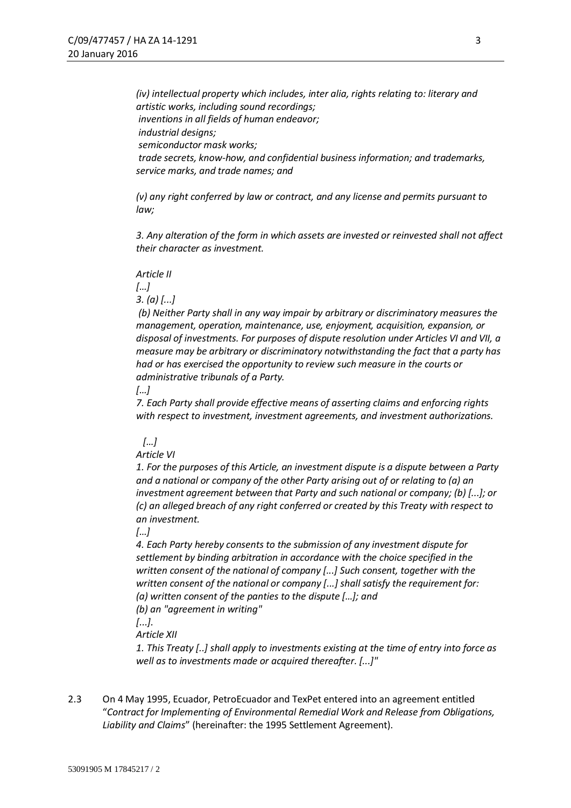*(iv) intellectual property which includes, inter alia, rights relating to: literary and artistic works, including sound recordings; inventions in all fields of human endeavor; industrial designs; semiconductor mask works; trade secrets, know-how, and confidential business information; and trademarks, service marks, and trade names; and* 

*(v) any right conferred by law or contract, and any license and permits pursuant to law;* 

*3. Any alteration of the form in which assets are invested or reinvested shall not affect their character as investment.*

# *Article II […]*

*3. (a) [...]*

*(b) Neither Party shall in any way impair by arbitrary or discriminatory measures the management, operation, maintenance, use, enjoyment, acquisition, expansion, or disposal of investments. For purposes of dispute resolution under Articles VI and VII, a measure may be arbitrary or discriminatory notwithstanding the fact that a party has had or has exercised the opportunity to review such measure in the courts or administrative tribunals of a Party.*

*[…]*

*7. Each Party shall provide effective means of asserting claims and enforcing rights with respect to investment, investment agreements, and investment authorizations.*

# *[…]*

*Article VI* 

*1. For the purposes of this Article, an investment dispute is a dispute between a Party and a national or company of the other Party arising out of or relating to (a) an investment agreement between that Party and such national or company; (b) [...]; or (c) an alleged breach of any right conferred or created by this Treaty with respect to an investment.*

*[…]*

*4. Each Party hereby consents to the submission of any investment dispute for settlement by binding arbitration in accordance with the choice specified in the written consent of the national of company [...] Such consent, together with the written consent of the national or company [...] shall satisfy the requirement for: (a) written consent of the panties to the dispute […]; and* 

*(b) an "agreement in writing"* 

*[...].*

*Article XII* 

*1. This Treaty [..] shall apply to investments existing at the time of entry into force as well as to investments made or acquired thereafter. [...]"* 

2.3 On 4 May 1995, Ecuador, PetroEcuador and TexPet entered into an agreement entitled "*Contract for Implementing of Environmental Remedial Work and Release from Obligations, Liability and Claims*" (hereinafter: the 1995 Settlement Agreement).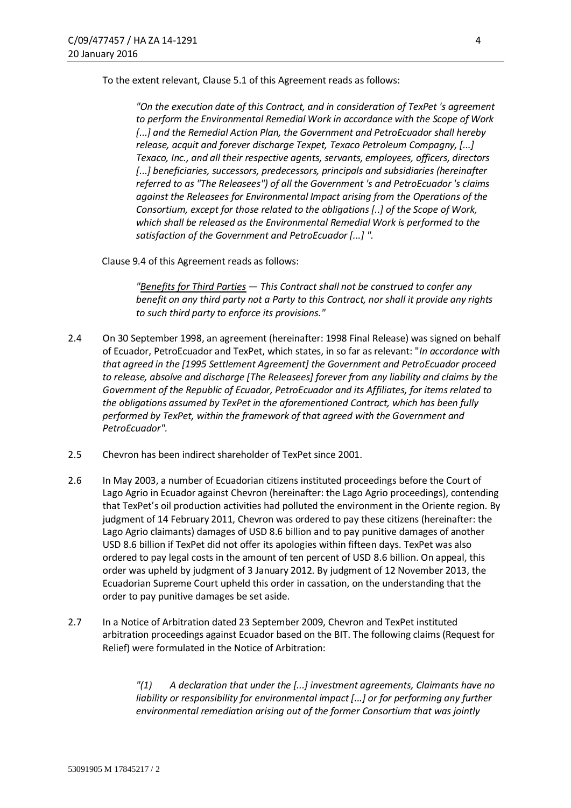To the extent relevant, Clause 5.1 of this Agreement reads as follows:

*"On the execution date of this Contract, and in consideration of TexPet 's agreement to perform the Environmental Remedial Work in accordance with the Scope of Work [...] and the Remedial Action Plan, the Government and PetroEcuador shall hereby release, acquit and forever discharge Texpet, Texaco Petroleum Compagny, [...] Texaco, Inc., and all their respective agents, servants, employees, officers, directors [...] beneficiaries, successors, predecessors, principals and subsidiaries (hereinafter referred to as "The Releasees") of all the Government 's and PetroEcuador 's claims against the Releasees for Environmental Impact arising from the Operations of the Consortium, except for those related to the obligations [..] of the Scope of Work, which shall be released as the Environmental Remedial Work is performed to the satisfaction of the Government and PetroEcuador [...] ".*

Clause 9.4 of this Agreement reads as follows:

*"Benefits for Third Parties — This Contract shall not be construed to confer any benefit on any third party not a Party to this Contract, nor shall it provide any rights to such third party to enforce its provisions."*

- 2.4 On 30 September 1998, an agreement (hereinafter: 1998 Final Release) was signed on behalf of Ecuador, PetroEcuador and TexPet, which states, in so far as relevant: "*In accordance with that agreed in the [1995 Settlement Agreement] the Government and PetroEcuador proceed to release, absolve and discharge [The Releasees] forever from any liability and claims by the Government of the Republic of Ecuador, PetroEcuador and its Affiliates, for items related to the obligations assumed by TexPet in the aforementioned Contract, which has been fully performed by TexPet, within the framework of that agreed with the Government and PetroEcuador".*
- 2.5 Chevron has been indirect shareholder of TexPet since 2001.
- 2.6 In May 2003, a number of Ecuadorian citizens instituted proceedings before the Court of Lago Agrio in Ecuador against Chevron (hereinafter: the Lago Agrio proceedings), contending that TexPet's oil production activities had polluted the environment in the Oriente region. By judgment of 14 February 2011, Chevron was ordered to pay these citizens (hereinafter: the Lago Agrio claimants) damages of USD 8.6 billion and to pay punitive damages of another USD 8.6 billion if TexPet did not offer its apologies within fifteen days. TexPet was also ordered to pay legal costs in the amount of ten percent of USD 8.6 billion. On appeal, this order was upheld by judgment of 3 January 2012. By judgment of 12 November 2013, the Ecuadorian Supreme Court upheld this order in cassation, on the understanding that the order to pay punitive damages be set aside.
- 2.7 In a Notice of Arbitration dated 23 September 2009, Chevron and TexPet instituted arbitration proceedings against Ecuador based on the BIT. The following claims (Request for Relief) were formulated in the Notice of Arbitration:

*"(1) A declaration that under the [...] investment agreements, Claimants have no liability or responsibility for environmental impact [...] or for performing any further environmental remediation arising out of the former Consortium that was jointly*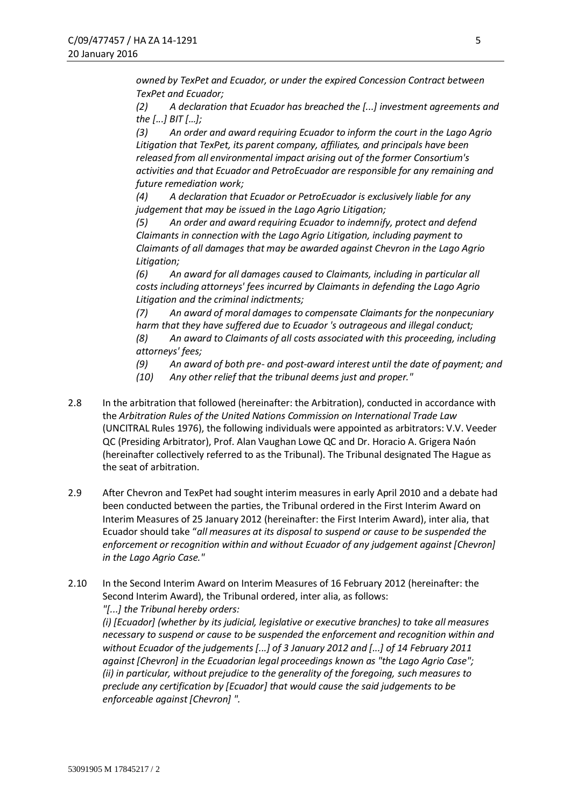*owned by TexPet and Ecuador, or under the expired Concession Contract between TexPet and Ecuador;*

*(2) A declaration that Ecuador has breached the [...] investment agreements and the [...] BIT […];*

*(3) An order and award requiring Ecuador to inform the court in the Lago Agrio Litigation that TexPet, its parent company, affiliates, and principals have been released from all environmental impact arising out of the former Consortium's activities and that Ecuador and PetroEcuador are responsible for any remaining and future remediation work;*

*(4) A declaration that Ecuador or PetroEcuador is exclusively liable for any judgement that may be issued in the Lago Agrio Litigation;*

*(5) An order and award requiring Ecuador to indemnify, protect and defend Claimants in connection with the Lago Agrio Litigation, including payment to Claimants of all damages that may be awarded against Chevron in the Lago Agrio Litigation;*

*(6) An award for all damages caused to Claimants, including in particular all costs including attorneys' fees incurred by Claimants in defending the Lago Agrio Litigation and the criminal indictments;*

*(7) An award of moral damages to compensate Claimants for the nonpecuniary harm that they have suffered due to Ecuador 's outrageous and illegal conduct; (8) An award to Claimants of all costs associated with this proceeding, including attorneys' fees;*

*(9) An award of both pre- and post-award interest until the date of payment; and*

*(10) Any other relief that the tribunal deems just and proper."*

- 2.8 In the arbitration that followed (hereinafter: the Arbitration), conducted in accordance with the *Arbitration Rules of the United Nations Commission on International Trade Law* (UNCITRAL Rules 1976), the following individuals were appointed as arbitrators: V.V. Veeder QC (Presiding Arbitrator), Prof. Alan Vaughan Lowe QC and Dr. Horacio A. Grigera Naón (hereinafter collectively referred to as the Tribunal). The Tribunal designated The Hague as the seat of arbitration.
- 2.9 After Chevron and TexPet had sought interim measures in early April 2010 and a debate had been conducted between the parties, the Tribunal ordered in the First Interim Award on Interim Measures of 25 January 2012 (hereinafter: the First Interim Award), inter alia, that Ecuador should take "*all measures at its disposal to suspend or cause to be suspended the enforcement or recognition within and without Ecuador of any judgement against [Chevron] in the Lago Agrio Case."*
- 2.10 In the Second Interim Award on Interim Measures of 16 February 2012 (hereinafter: the Second Interim Award), the Tribunal ordered, inter alia, as follows:

*"[...] the Tribunal hereby orders:* 

*(i) [Ecuador] (whether by its judicial, legislative or executive branches) to take all measures necessary to suspend or cause to be suspended the enforcement and recognition within and without Ecuador of the judgements [...] of 3 January 2012 and [...] of 14 February 2011 against [Chevron] in the Ecuadorian legal proceedings known as "the Lago Agrio Case"; (ii) in particular, without prejudice to the generality of the foregoing, such measures to preclude any certification by [Ecuador] that would cause the said judgements to be enforceable against [Chevron] ".*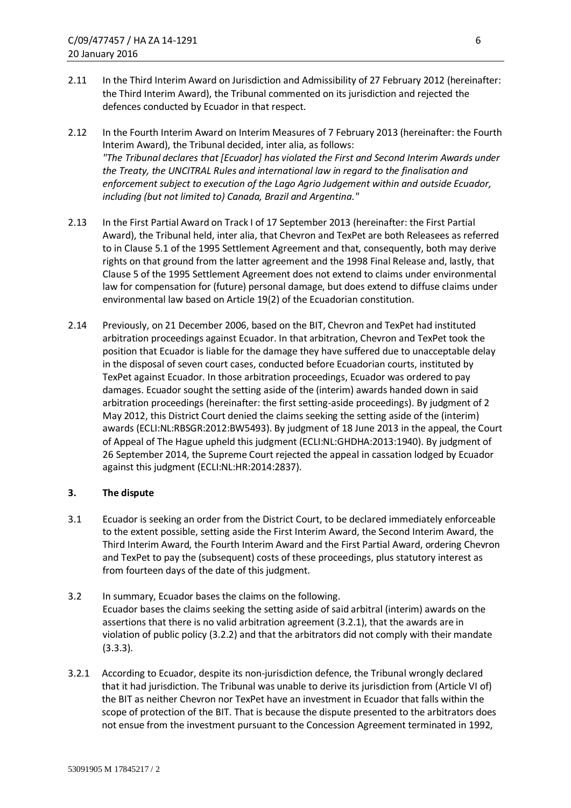- 2.11 In the Third Interim Award on Jurisdiction and Admissibility of 27 February 2012 (hereinafter: the Third Interim Award), the Tribunal commented on its jurisdiction and rejected the defences conducted by Ecuador in that respect.
- 2.12 In the Fourth Interim Award on Interim Measures of 7 February 2013 (hereinafter: the Fourth Interim Award), the Tribunal decided, inter alia, as follows: *"The Tribunal declares that [Ecuador] has violated the First and Second Interim Awards under the Treaty, the UNCITRAL Rules and international law in regard to the finalisation and enforcement subject to execution of the Lago Agrio Judgement within and outside Ecuador, including (but not limited to) Canada, Brazil and Argentina."*
- 2.13 In the First Partial Award on Track I of 17 September 2013 (hereinafter: the First Partial Award), the Tribunal held, inter alia, that Chevron and TexPet are both Releasees as referred to in Clause 5.1 of the 1995 Settlement Agreement and that, consequently, both may derive rights on that ground from the latter agreement and the 1998 Final Release and, lastly, that Clause 5 of the 1995 Settlement Agreement does not extend to claims under environmental law for compensation for (future) personal damage, but does extend to diffuse claims under environmental law based on Article 19(2) of the Ecuadorian constitution.
- 2.14 Previously, on 21 December 2006, based on the BIT, Chevron and TexPet had instituted arbitration proceedings against Ecuador. In that arbitration, Chevron and TexPet took the position that Ecuador is liable for the damage they have suffered due to unacceptable delay in the disposal of seven court cases, conducted before Ecuadorian courts, instituted by TexPet against Ecuador. In those arbitration proceedings, Ecuador was ordered to pay damages. Ecuador sought the setting aside of the (interim) awards handed down in said arbitration proceedings (hereinafter: the first setting-aside proceedings). By judgment of 2 May 2012, this District Court denied the claims seeking the setting aside of the (interim) awards (ECLI:NL:RBSGR:2012:BW5493). By judgment of 18 June 2013 in the appeal, the Court of Appeal of The Hague upheld this judgment (ECLI:NL:GHDHA:2013:1940). By judgment of 26 September 2014, the Supreme Court rejected the appeal in cassation lodged by Ecuador against this judgment (ECLI:NL:HR:2014:2837).

### **3. The dispute**

- 3.1 Ecuador is seeking an order from the District Court, to be declared immediately enforceable to the extent possible, setting aside the First Interim Award, the Second Interim Award, the Third Interim Award, the Fourth Interim Award and the First Partial Award, ordering Chevron and TexPet to pay the (subsequent) costs of these proceedings, plus statutory interest as from fourteen days of the date of this judgment.
- 3.2 In summary, Ecuador bases the claims on the following. Ecuador bases the claims seeking the setting aside of said arbitral (interim) awards on the assertions that there is no valid arbitration agreement (3.2.1), that the awards are in violation of public policy (3.2.2) and that the arbitrators did not comply with their mandate (3.3.3).
- 3.2.1 According to Ecuador, despite its non-jurisdiction defence, the Tribunal wrongly declared that it had jurisdiction. The Tribunal was unable to derive its jurisdiction from (Article VI of) the BIT as neither Chevron nor TexPet have an investment in Ecuador that falls within the scope of protection of the BIT. That is because the dispute presented to the arbitrators does not ensue from the investment pursuant to the Concession Agreement terminated in 1992,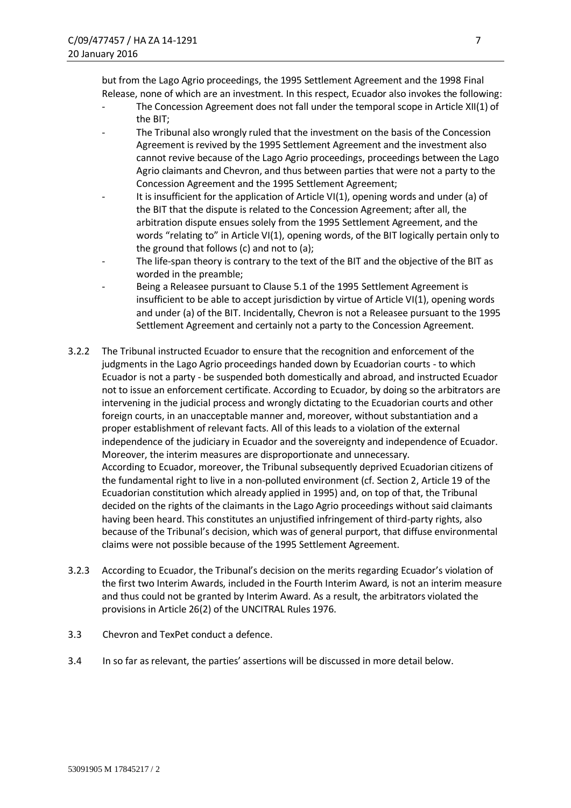but from the Lago Agrio proceedings, the 1995 Settlement Agreement and the 1998 Final Release, none of which are an investment. In this respect, Ecuador also invokes the following:

- The Concession Agreement does not fall under the temporal scope in Article XII(1) of the BIT;
- The Tribunal also wrongly ruled that the investment on the basis of the Concession Agreement is revived by the 1995 Settlement Agreement and the investment also cannot revive because of the Lago Agrio proceedings, proceedings between the Lago Agrio claimants and Chevron, and thus between parties that were not a party to the Concession Agreement and the 1995 Settlement Agreement;
- It is insufficient for the application of Article VI(1), opening words and under (a) of the BIT that the dispute is related to the Concession Agreement; after all, the arbitration dispute ensues solely from the 1995 Settlement Agreement, and the words "relating to" in Article VI(1), opening words, of the BIT logically pertain only to the ground that follows (c) and not to (a);
- The life-span theory is contrary to the text of the BIT and the objective of the BIT as worded in the preamble;
- Being a Releasee pursuant to Clause 5.1 of the 1995 Settlement Agreement is insufficient to be able to accept jurisdiction by virtue of Article VI(1), opening words and under (a) of the BIT. Incidentally, Chevron is not a Releasee pursuant to the 1995 Settlement Agreement and certainly not a party to the Concession Agreement.
- 3.2.2 The Tribunal instructed Ecuador to ensure that the recognition and enforcement of the judgments in the Lago Agrio proceedings handed down by Ecuadorian courts - to which Ecuador is not a party - be suspended both domestically and abroad, and instructed Ecuador not to issue an enforcement certificate. According to Ecuador, by doing so the arbitrators are intervening in the judicial process and wrongly dictating to the Ecuadorian courts and other foreign courts, in an unacceptable manner and, moreover, without substantiation and a proper establishment of relevant facts. All of this leads to a violation of the external independence of the judiciary in Ecuador and the sovereignty and independence of Ecuador. Moreover, the interim measures are disproportionate and unnecessary. According to Ecuador, moreover, the Tribunal subsequently deprived Ecuadorian citizens of the fundamental right to live in a non-polluted environment (cf. Section 2, Article 19 of the Ecuadorian constitution which already applied in 1995) and, on top of that, the Tribunal decided on the rights of the claimants in the Lago Agrio proceedings without said claimants having been heard. This constitutes an unjustified infringement of third-party rights, also because of the Tribunal's decision, which was of general purport, that diffuse environmental claims were not possible because of the 1995 Settlement Agreement.
- 3.2.3 According to Ecuador, the Tribunal's decision on the merits regarding Ecuador's violation of the first two Interim Awards, included in the Fourth Interim Award, is not an interim measure and thus could not be granted by Interim Award. As a result, the arbitrators violated the provisions in Article 26(2) of the UNCITRAL Rules 1976.
- 3.3 Chevron and TexPet conduct a defence.
- 3.4 In so far as relevant, the parties' assertions will be discussed in more detail below.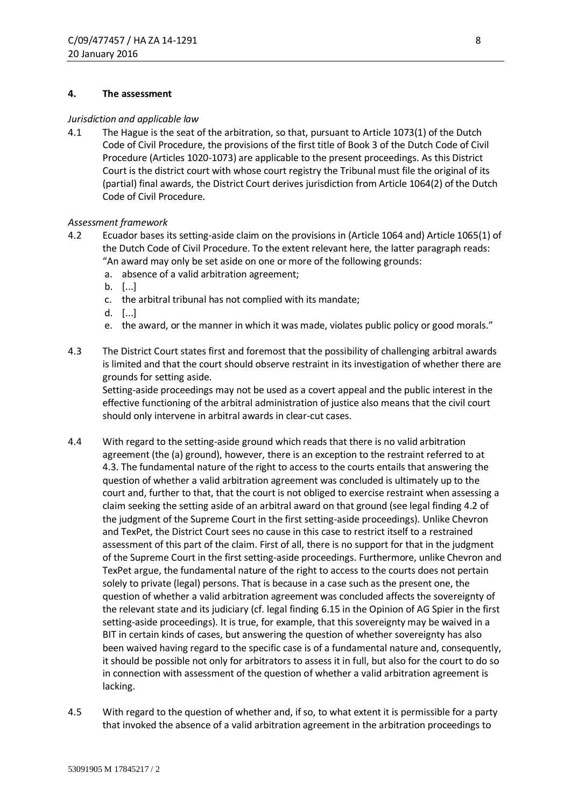## **4. The assessment**

### *Jurisdiction and applicable law*

4.1 The Hague is the seat of the arbitration, so that, pursuant to Article 1073(1) of the Dutch Code of Civil Procedure, the provisions of the first title of Book 3 of the Dutch Code of Civil Procedure (Articles 1020-1073) are applicable to the present proceedings. As this District Court is the district court with whose court registry the Tribunal must file the original of its (partial) final awards, the District Court derives jurisdiction from Article 1064(2) of the Dutch Code of Civil Procedure.

## *Assessment framework*

- 4.2 Ecuador bases its setting-aside claim on the provisions in (Article 1064 and) Article 1065(1) of the Dutch Code of Civil Procedure. To the extent relevant here, the latter paragraph reads: "An award may only be set aside on one or more of the following grounds:
	- a. absence of a valid arbitration agreement;
	- b. [...]
	- c. the arbitral tribunal has not complied with its mandate;
	- d. [...]
	- e. the award, or the manner in which it was made, violates public policy or good morals."
- 4.3 The District Court states first and foremost that the possibility of challenging arbitral awards is limited and that the court should observe restraint in its investigation of whether there are grounds for setting aside.

Setting-aside proceedings may not be used as a covert appeal and the public interest in the effective functioning of the arbitral administration of justice also means that the civil court should only intervene in arbitral awards in clear-cut cases.

- 4.4 With regard to the setting-aside ground which reads that there is no valid arbitration agreement (the (a) ground), however, there is an exception to the restraint referred to at 4.3. The fundamental nature of the right to access to the courts entails that answering the question of whether a valid arbitration agreement was concluded is ultimately up to the court and, further to that, that the court is not obliged to exercise restraint when assessing a claim seeking the setting aside of an arbitral award on that ground (see legal finding 4.2 of the judgment of the Supreme Court in the first setting-aside proceedings). Unlike Chevron and TexPet, the District Court sees no cause in this case to restrict itself to a restrained assessment of this part of the claim. First of all, there is no support for that in the judgment of the Supreme Court in the first setting-aside proceedings. Furthermore, unlike Chevron and TexPet argue, the fundamental nature of the right to access to the courts does not pertain solely to private (legal) persons. That is because in a case such as the present one, the question of whether a valid arbitration agreement was concluded affects the sovereignty of the relevant state and its judiciary (cf. legal finding 6.15 in the Opinion of AG Spier in the first setting-aside proceedings). It is true, for example, that this sovereignty may be waived in a BIT in certain kinds of cases, but answering the question of whether sovereignty has also been waived having regard to the specific case is of a fundamental nature and, consequently, it should be possible not only for arbitrators to assess it in full, but also for the court to do so in connection with assessment of the question of whether a valid arbitration agreement is lacking.
- 4.5 With regard to the question of whether and, if so, to what extent it is permissible for a party that invoked the absence of a valid arbitration agreement in the arbitration proceedings to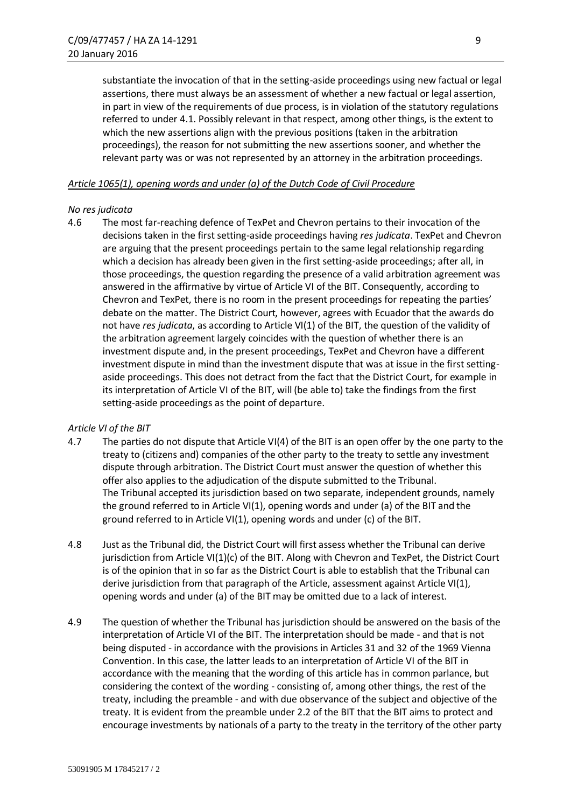substantiate the invocation of that in the setting-aside proceedings using new factual or legal assertions, there must always be an assessment of whether a new factual or legal assertion, in part in view of the requirements of due process, is in violation of the statutory regulations referred to under 4.1. Possibly relevant in that respect, among other things, is the extent to which the new assertions align with the previous positions (taken in the arbitration proceedings), the reason for not submitting the new assertions sooner, and whether the relevant party was or was not represented by an attorney in the arbitration proceedings.

#### *Article 1065(1), opening words and under (a) of the Dutch Code of Civil Procedure*

#### *No res judicata*

4.6 The most far-reaching defence of TexPet and Chevron pertains to their invocation of the decisions taken in the first setting-aside proceedings having *res judicata*. TexPet and Chevron are arguing that the present proceedings pertain to the same legal relationship regarding which a decision has already been given in the first setting-aside proceedings; after all, in those proceedings, the question regarding the presence of a valid arbitration agreement was answered in the affirmative by virtue of Article VI of the BIT. Consequently, according to Chevron and TexPet, there is no room in the present proceedings for repeating the parties' debate on the matter. The District Court, however, agrees with Ecuador that the awards do not have *res judicata*, as according to Article VI(1) of the BIT, the question of the validity of the arbitration agreement largely coincides with the question of whether there is an investment dispute and, in the present proceedings, TexPet and Chevron have a different investment dispute in mind than the investment dispute that was at issue in the first settingaside proceedings. This does not detract from the fact that the District Court, for example in its interpretation of Article VI of the BIT, will (be able to) take the findings from the first setting-aside proceedings as the point of departure.

### *Article VI of the BIT*

- 4.7 The parties do not dispute that Article VI(4) of the BIT is an open offer by the one party to the treaty to (citizens and) companies of the other party to the treaty to settle any investment dispute through arbitration. The District Court must answer the question of whether this offer also applies to the adjudication of the dispute submitted to the Tribunal. The Tribunal accepted its jurisdiction based on two separate, independent grounds, namely the ground referred to in Article VI(1), opening words and under (a) of the BIT and the ground referred to in Article VI(1), opening words and under (c) of the BIT.
- 4.8 Just as the Tribunal did, the District Court will first assess whether the Tribunal can derive jurisdiction from Article VI(1)(c) of the BIT. Along with Chevron and TexPet, the District Court is of the opinion that in so far as the District Court is able to establish that the Tribunal can derive jurisdiction from that paragraph of the Article, assessment against Article VI(1), opening words and under (a) of the BIT may be omitted due to a lack of interest.
- 4.9 The question of whether the Tribunal has jurisdiction should be answered on the basis of the interpretation of Article VI of the BIT. The interpretation should be made - and that is not being disputed - in accordance with the provisions in Articles 31 and 32 of the 1969 Vienna Convention. In this case, the latter leads to an interpretation of Article VI of the BIT in accordance with the meaning that the wording of this article has in common parlance, but considering the context of the wording - consisting of, among other things, the rest of the treaty, including the preamble - and with due observance of the subject and objective of the treaty. It is evident from the preamble under 2.2 of the BIT that the BIT aims to protect and encourage investments by nationals of a party to the treaty in the territory of the other party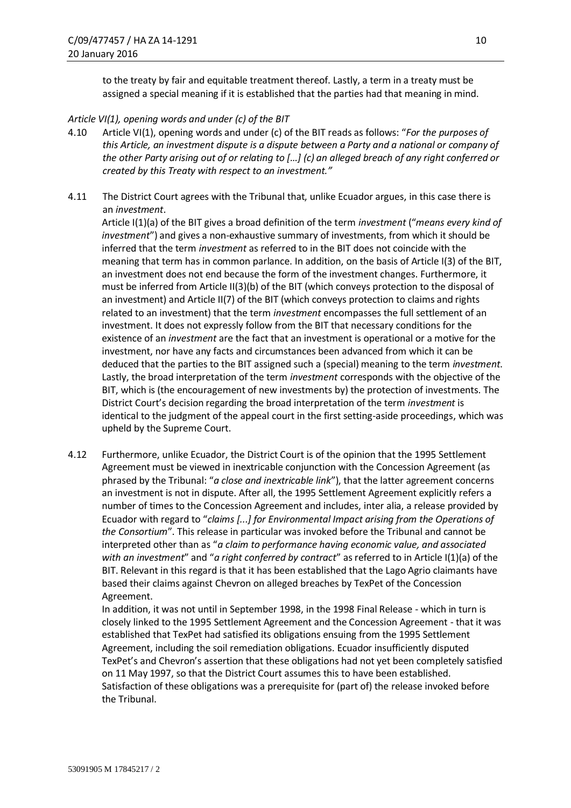to the treaty by fair and equitable treatment thereof. Lastly, a term in a treaty must be assigned a special meaning if it is established that the parties had that meaning in mind.

### *Article VI(1), opening words and under (c) of the BIT*

- 4.10 Article VI(1), opening words and under (c) of the BIT reads as follows: "*For the purposes of this Article, an investment dispute is a dispute between a Party and a national or company of the other Party arising out of or relating to […] (c) an alleged breach of any right conferred or created by this Treaty with respect to an investment."*
- 4.11 The District Court agrees with the Tribunal that, unlike Ecuador argues, in this case there is an *investment*.

Article I(1)(a) of the BIT gives a broad definition of the term *investment* ("*means every kind of investment*") and gives a non-exhaustive summary of investments, from which it should be inferred that the term *investment* as referred to in the BIT does not coincide with the meaning that term has in common parlance. In addition, on the basis of Article I(3) of the BIT, an investment does not end because the form of the investment changes. Furthermore, it must be inferred from Article II(3)(b) of the BIT (which conveys protection to the disposal of an investment) and Article II(7) of the BIT (which conveys protection to claims and rights related to an investment) that the term *investment* encompasses the full settlement of an investment. It does not expressly follow from the BIT that necessary conditions for the existence of an *investment* are the fact that an investment is operational or a motive for the investment, nor have any facts and circumstances been advanced from which it can be deduced that the parties to the BIT assigned such a (special) meaning to the term *investment*. Lastly, the broad interpretation of the term *investment* corresponds with the objective of the BIT, which is (the encouragement of new investments by) the protection of investments. The District Court's decision regarding the broad interpretation of the term *investment* is identical to the judgment of the appeal court in the first setting-aside proceedings, which was upheld by the Supreme Court.

4.12 Furthermore, unlike Ecuador, the District Court is of the opinion that the 1995 Settlement Agreement must be viewed in inextricable conjunction with the Concession Agreement (as phrased by the Tribunal: "*a close and inextricable link*"), that the latter agreement concerns an investment is not in dispute. After all, the 1995 Settlement Agreement explicitly refers a number of times to the Concession Agreement and includes, inter alia, a release provided by Ecuador with regard to "*claims [...] for Environmental Impact arising from the Operations of the Consortium*". This release in particular was invoked before the Tribunal and cannot be interpreted other than as "*a claim to performance having economic value, and associated with an investment*" and "*a right conferred by contract*" as referred to in Article I(1)(a) of the BIT. Relevant in this regard is that it has been established that the Lago Agrio claimants have based their claims against Chevron on alleged breaches by TexPet of the Concession Agreement.

In addition, it was not until in September 1998, in the 1998 Final Release - which in turn is closely linked to the 1995 Settlement Agreement and the Concession Agreement - that it was established that TexPet had satisfied its obligations ensuing from the 1995 Settlement Agreement, including the soil remediation obligations. Ecuador insufficiently disputed TexPet's and Chevron's assertion that these obligations had not yet been completely satisfied on 11 May 1997, so that the District Court assumes this to have been established. Satisfaction of these obligations was a prerequisite for (part of) the release invoked before the Tribunal.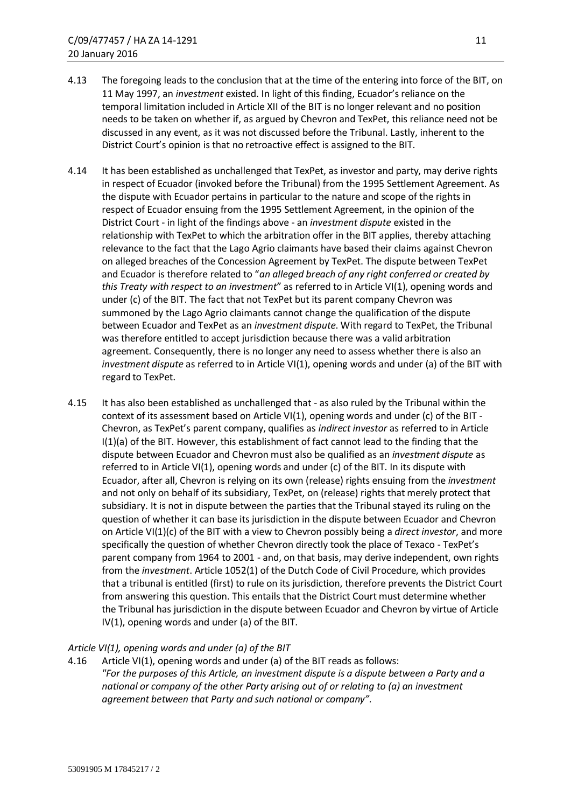- 4.13 The foregoing leads to the conclusion that at the time of the entering into force of the BIT, on 11 May 1997, an *investment* existed. In light of this finding, Ecuador's reliance on the temporal limitation included in Article XII of the BIT is no longer relevant and no position needs to be taken on whether if, as argued by Chevron and TexPet, this reliance need not be discussed in any event, as it was not discussed before the Tribunal. Lastly, inherent to the District Court's opinion is that no retroactive effect is assigned to the BIT.
- 4.14 It has been established as unchallenged that TexPet, as investor and party, may derive rights in respect of Ecuador (invoked before the Tribunal) from the 1995 Settlement Agreement. As the dispute with Ecuador pertains in particular to the nature and scope of the rights in respect of Ecuador ensuing from the 1995 Settlement Agreement, in the opinion of the District Court - in light of the findings above - an *investment dispute* existed in the relationship with TexPet to which the arbitration offer in the BIT applies, thereby attaching relevance to the fact that the Lago Agrio claimants have based their claims against Chevron on alleged breaches of the Concession Agreement by TexPet. The dispute between TexPet and Ecuador is therefore related to "*an alleged breach of any right conferred or created by this Treaty with respect to an investment*" as referred to in Article VI(1), opening words and under (c) of the BIT. The fact that not TexPet but its parent company Chevron was summoned by the Lago Agrio claimants cannot change the qualification of the dispute between Ecuador and TexPet as an *investment dispute*. With regard to TexPet, the Tribunal was therefore entitled to accept jurisdiction because there was a valid arbitration agreement. Consequently, there is no longer any need to assess whether there is also an *investment dispute* as referred to in Article VI(1), opening words and under (a) of the BIT with regard to TexPet.
- 4.15 It has also been established as unchallenged that as also ruled by the Tribunal within the context of its assessment based on Article VI(1), opening words and under (c) of the BIT - Chevron, as TexPet's parent company, qualifies as *indirect investor* as referred to in Article I(1)(a) of the BIT. However, this establishment of fact cannot lead to the finding that the dispute between Ecuador and Chevron must also be qualified as an *investment dispute* as referred to in Article VI(1), opening words and under (c) of the BIT. In its dispute with Ecuador, after all, Chevron is relying on its own (release) rights ensuing from the *investment* and not only on behalf of its subsidiary, TexPet, on (release) rights that merely protect that subsidiary. It is not in dispute between the parties that the Tribunal stayed its ruling on the question of whether it can base its jurisdiction in the dispute between Ecuador and Chevron on Article VI(1)(c) of the BIT with a view to Chevron possibly being a *direct investor*, and more specifically the question of whether Chevron directly took the place of Texaco - TexPet's parent company from 1964 to 2001 - and, on that basis, may derive independent, own rights from the *investment*. Article 1052(1) of the Dutch Code of Civil Procedure, which provides that a tribunal is entitled (first) to rule on its jurisdiction, therefore prevents the District Court from answering this question. This entails that the District Court must determine whether the Tribunal has jurisdiction in the dispute between Ecuador and Chevron by virtue of Article IV(1), opening words and under (a) of the BIT.

### *Article VI(1), opening words and under (a) of the BIT*

4.16 Article VI(1), opening words and under (a) of the BIT reads as follows: *"For the purposes of this Article, an investment dispute is a dispute between a Party and a national or company of the other Party arising out of or relating to (a) an investment agreement between that Party and such national or company".*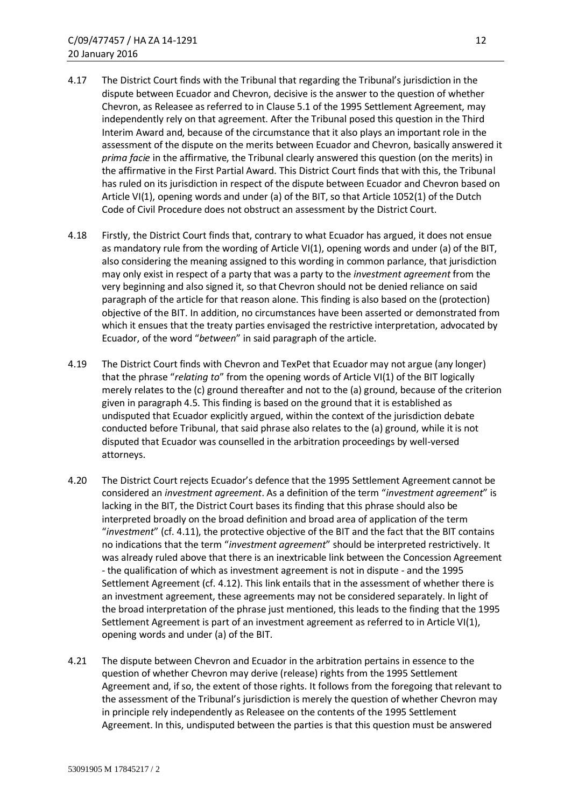- 4.17 The District Court finds with the Tribunal that regarding the Tribunal's jurisdiction in the dispute between Ecuador and Chevron, decisive is the answer to the question of whether Chevron, as Releasee as referred to in Clause 5.1 of the 1995 Settlement Agreement, may independently rely on that agreement. After the Tribunal posed this question in the Third Interim Award and, because of the circumstance that it also plays an important role in the assessment of the dispute on the merits between Ecuador and Chevron, basically answered it *prima facie* in the affirmative, the Tribunal clearly answered this question (on the merits) in the affirmative in the First Partial Award. This District Court finds that with this, the Tribunal has ruled on its jurisdiction in respect of the dispute between Ecuador and Chevron based on Article VI(1), opening words and under (a) of the BIT, so that Article 1052(1) of the Dutch Code of Civil Procedure does not obstruct an assessment by the District Court.
- 4.18 Firstly, the District Court finds that, contrary to what Ecuador has argued, it does not ensue as mandatory rule from the wording of Article VI(1), opening words and under (a) of the BIT, also considering the meaning assigned to this wording in common parlance, that jurisdiction may only exist in respect of a party that was a party to the *investment agreement* from the very beginning and also signed it, so that Chevron should not be denied reliance on said paragraph of the article for that reason alone. This finding is also based on the (protection) objective of the BIT. In addition, no circumstances have been asserted or demonstrated from which it ensues that the treaty parties envisaged the restrictive interpretation, advocated by Ecuador, of the word "*between*" in said paragraph of the article.
- 4.19 The District Court finds with Chevron and TexPet that Ecuador may not argue (any longer) that the phrase "*relating to*" from the opening words of Article VI(1) of the BIT logically merely relates to the (c) ground thereafter and not to the (a) ground, because of the criterion given in paragraph 4.5. This finding is based on the ground that it is established as undisputed that Ecuador explicitly argued, within the context of the jurisdiction debate conducted before Tribunal, that said phrase also relates to the (a) ground, while it is not disputed that Ecuador was counselled in the arbitration proceedings by well-versed attorneys.
- 4.20 The District Court rejects Ecuador's defence that the 1995 Settlement Agreement cannot be considered an *investment agreement*. As a definition of the term "*investment agreement*" is lacking in the BIT, the District Court bases its finding that this phrase should also be interpreted broadly on the broad definition and broad area of application of the term "*investment*" (cf. 4.11), the protective objective of the BIT and the fact that the BIT contains no indications that the term "*investment agreement*" should be interpreted restrictively. It was already ruled above that there is an inextricable link between the Concession Agreement - the qualification of which as investment agreement is not in dispute - and the 1995 Settlement Agreement (cf. 4.12). This link entails that in the assessment of whether there is an investment agreement, these agreements may not be considered separately. In light of the broad interpretation of the phrase just mentioned, this leads to the finding that the 1995 Settlement Agreement is part of an investment agreement as referred to in Article VI(1), opening words and under (a) of the BIT.
- 4.21 The dispute between Chevron and Ecuador in the arbitration pertains in essence to the question of whether Chevron may derive (release) rights from the 1995 Settlement Agreement and, if so, the extent of those rights. It follows from the foregoing that relevant to the assessment of the Tribunal's jurisdiction is merely the question of whether Chevron may in principle rely independently as Releasee on the contents of the 1995 Settlement Agreement. In this, undisputed between the parties is that this question must be answered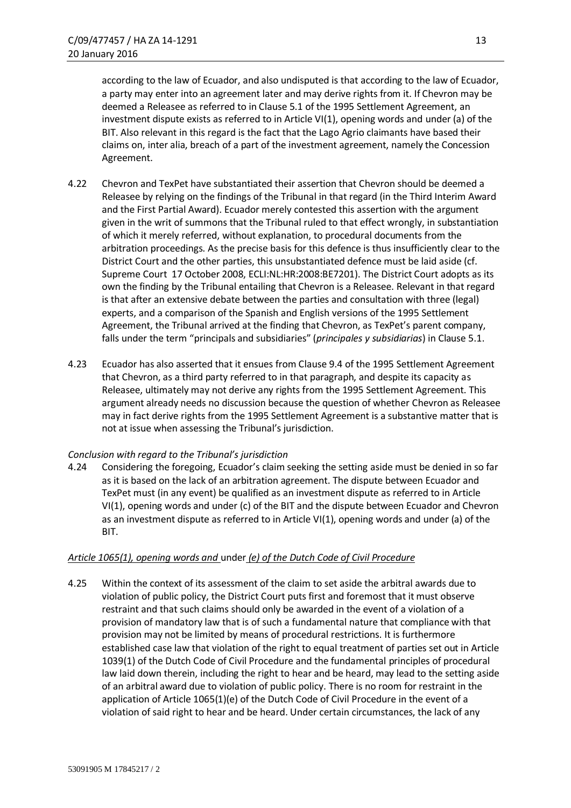according to the law of Ecuador, and also undisputed is that according to the law of Ecuador, a party may enter into an agreement later and may derive rights from it. If Chevron may be deemed a Releasee as referred to in Clause 5.1 of the 1995 Settlement Agreement, an investment dispute exists as referred to in Article VI(1), opening words and under (a) of the BIT. Also relevant in this regard is the fact that the Lago Agrio claimants have based their claims on, inter alia, breach of a part of the investment agreement, namely the Concession Agreement.

- 4.22 Chevron and TexPet have substantiated their assertion that Chevron should be deemed a Releasee by relying on the findings of the Tribunal in that regard (in the Third Interim Award and the First Partial Award). Ecuador merely contested this assertion with the argument given in the writ of summons that the Tribunal ruled to that effect wrongly, in substantiation of which it merely referred, without explanation, to procedural documents from the arbitration proceedings. As the precise basis for this defence is thus insufficiently clear to the District Court and the other parties, this unsubstantiated defence must be laid aside (cf. Supreme Court 17 October 2008, ECLI:NL:HR:2008:BE7201). The District Court adopts as its own the finding by the Tribunal entailing that Chevron is a Releasee. Relevant in that regard is that after an extensive debate between the parties and consultation with three (legal) experts, and a comparison of the Spanish and English versions of the 1995 Settlement Agreement, the Tribunal arrived at the finding that Chevron, as TexPet's parent company, falls under the term "principals and subsidiaries" (*principales y subsidiarias*) in Clause 5.1.
- 4.23 Ecuador has also asserted that it ensues from Clause 9.4 of the 1995 Settlement Agreement that Chevron, as a third party referred to in that paragraph, and despite its capacity as Releasee, ultimately may not derive any rights from the 1995 Settlement Agreement. This argument already needs no discussion because the question of whether Chevron as Releasee may in fact derive rights from the 1995 Settlement Agreement is a substantive matter that is not at issue when assessing the Tribunal's jurisdiction.

### *Conclusion with regard to the Tribunal's jurisdiction*

4.24 Considering the foregoing, Ecuador's claim seeking the setting aside must be denied in so far as it is based on the lack of an arbitration agreement. The dispute between Ecuador and TexPet must (in any event) be qualified as an investment dispute as referred to in Article VI(1), opening words and under (c) of the BIT and the dispute between Ecuador and Chevron as an investment dispute as referred to in Article VI(1), opening words and under (a) of the BIT.

#### *Article 1065(1), opening words and* under *(e) of the Dutch Code of Civil Procedure*

4.25 Within the context of its assessment of the claim to set aside the arbitral awards due to violation of public policy, the District Court puts first and foremost that it must observe restraint and that such claims should only be awarded in the event of a violation of a provision of mandatory law that is of such a fundamental nature that compliance with that provision may not be limited by means of procedural restrictions. It is furthermore established case law that violation of the right to equal treatment of parties set out in Article 1039(1) of the Dutch Code of Civil Procedure and the fundamental principles of procedural law laid down therein, including the right to hear and be heard, may lead to the setting aside of an arbitral award due to violation of public policy. There is no room for restraint in the application of Article 1065(1)(e) of the Dutch Code of Civil Procedure in the event of a violation of said right to hear and be heard. Under certain circumstances, the lack of any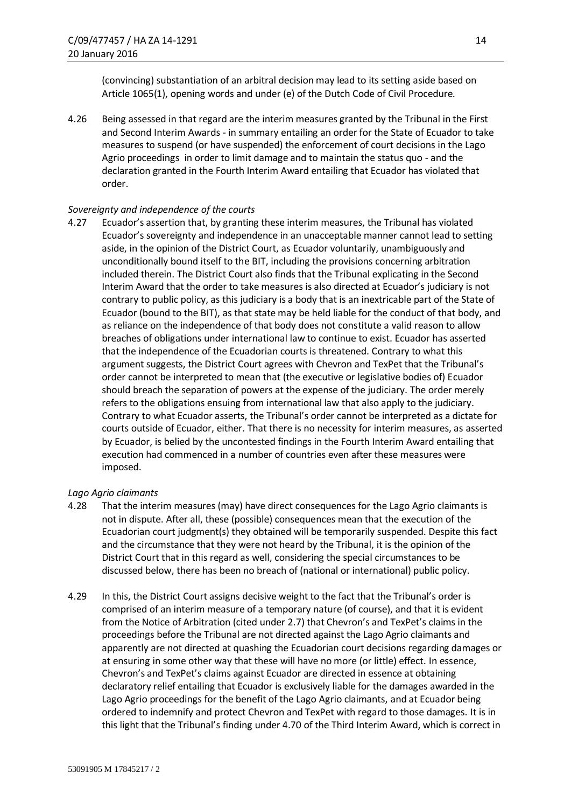(convincing) substantiation of an arbitral decision may lead to its setting aside based on Article 1065(1), opening words and under (e) of the Dutch Code of Civil Procedure.

4.26 Being assessed in that regard are the interim measures granted by the Tribunal in the First and Second Interim Awards - in summary entailing an order for the State of Ecuador to take measures to suspend (or have suspended) the enforcement of court decisions in the Lago Agrio proceedings in order to limit damage and to maintain the status quo - and the declaration granted in the Fourth Interim Award entailing that Ecuador has violated that order.

## *Sovereignty and independence of the courts*

4.27 Ecuador's assertion that, by granting these interim measures, the Tribunal has violated Ecuador's sovereignty and independence in an unacceptable manner cannot lead to setting aside, in the opinion of the District Court, as Ecuador voluntarily, unambiguously and unconditionally bound itself to the BIT, including the provisions concerning arbitration included therein. The District Court also finds that the Tribunal explicating in the Second Interim Award that the order to take measures is also directed at Ecuador's judiciary is not contrary to public policy, as this judiciary is a body that is an inextricable part of the State of Ecuador (bound to the BIT), as that state may be held liable for the conduct of that body, and as reliance on the independence of that body does not constitute a valid reason to allow breaches of obligations under international law to continue to exist. Ecuador has asserted that the independence of the Ecuadorian courts is threatened. Contrary to what this argument suggests, the District Court agrees with Chevron and TexPet that the Tribunal's order cannot be interpreted to mean that (the executive or legislative bodies of) Ecuador should breach the separation of powers at the expense of the judiciary. The order merely refers to the obligations ensuing from international law that also apply to the judiciary. Contrary to what Ecuador asserts, the Tribunal's order cannot be interpreted as a dictate for courts outside of Ecuador, either. That there is no necessity for interim measures, as asserted by Ecuador, is belied by the uncontested findings in the Fourth Interim Award entailing that execution had commenced in a number of countries even after these measures were imposed.

# *Lago Agrio claimants*

- 4.28 That the interim measures (may) have direct consequences for the Lago Agrio claimants is not in dispute. After all, these (possible) consequences mean that the execution of the Ecuadorian court judgment(s) they obtained will be temporarily suspended. Despite this fact and the circumstance that they were not heard by the Tribunal, it is the opinion of the District Court that in this regard as well, considering the special circumstances to be discussed below, there has been no breach of (national or international) public policy.
- 4.29 In this, the District Court assigns decisive weight to the fact that the Tribunal's order is comprised of an interim measure of a temporary nature (of course), and that it is evident from the Notice of Arbitration (cited under 2.7) that Chevron's and TexPet's claims in the proceedings before the Tribunal are not directed against the Lago Agrio claimants and apparently are not directed at quashing the Ecuadorian court decisions regarding damages or at ensuring in some other way that these will have no more (or little) effect. In essence, Chevron's and TexPet's claims against Ecuador are directed in essence at obtaining declaratory relief entailing that Ecuador is exclusively liable for the damages awarded in the Lago Agrio proceedings for the benefit of the Lago Agrio claimants, and at Ecuador being ordered to indemnify and protect Chevron and TexPet with regard to those damages. It is in this light that the Tribunal's finding under 4.70 of the Third Interim Award, which is correct in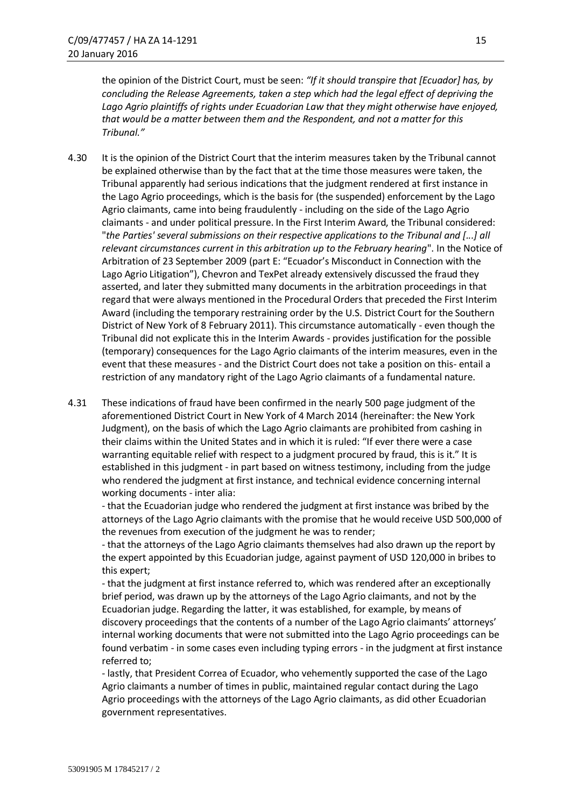the opinion of the District Court, must be seen: *"If it should transpire that [Ecuador] has, by concluding the Release Agreements, taken a step which had the legal effect of depriving the Lago Agrio plaintiffs of rights under Ecuadorian Law that they might otherwise have enjoyed, that would be a matter between them and the Respondent, and not a matter for this Tribunal."*

- 4.30 It is the opinion of the District Court that the interim measures taken by the Tribunal cannot be explained otherwise than by the fact that at the time those measures were taken, the Tribunal apparently had serious indications that the judgment rendered at first instance in the Lago Agrio proceedings, which is the basis for (the suspended) enforcement by the Lago Agrio claimants, came into being fraudulently - including on the side of the Lago Agrio claimants - and under political pressure. In the First Interim Award, the Tribunal considered: "*the Parties' several submissions on their respective applications to the Tribunal and [...] all relevant circumstances current in this arbitration up to the February hearing*". In the Notice of Arbitration of 23 September 2009 (part E: "Ecuador's Misconduct in Connection with the Lago Agrio Litigation"), Chevron and TexPet already extensively discussed the fraud they asserted, and later they submitted many documents in the arbitration proceedings in that regard that were always mentioned in the Procedural Orders that preceded the First Interim Award (including the temporary restraining order by the U.S. District Court for the Southern District of New York of 8 February 2011). This circumstance automatically - even though the Tribunal did not explicate this in the Interim Awards - provides justification for the possible (temporary) consequences for the Lago Agrio claimants of the interim measures, even in the event that these measures - and the District Court does not take a position on this- entail a restriction of any mandatory right of the Lago Agrio claimants of a fundamental nature.
- 4.31 These indications of fraud have been confirmed in the nearly 500 page judgment of the aforementioned District Court in New York of 4 March 2014 (hereinafter: the New York Judgment), on the basis of which the Lago Agrio claimants are prohibited from cashing in their claims within the United States and in which it is ruled: "If ever there were a case warranting equitable relief with respect to a judgment procured by fraud, this is it." It is established in this judgment - in part based on witness testimony, including from the judge who rendered the judgment at first instance, and technical evidence concerning internal working documents - inter alia:

- that the Ecuadorian judge who rendered the judgment at first instance was bribed by the attorneys of the Lago Agrio claimants with the promise that he would receive USD 500,000 of the revenues from execution of the judgment he was to render;

- that the attorneys of the Lago Agrio claimants themselves had also drawn up the report by the expert appointed by this Ecuadorian judge, against payment of USD 120,000 in bribes to this expert;

- that the judgment at first instance referred to, which was rendered after an exceptionally brief period, was drawn up by the attorneys of the Lago Agrio claimants, and not by the Ecuadorian judge. Regarding the latter, it was established, for example, by means of discovery proceedings that the contents of a number of the Lago Agrio claimants' attorneys' internal working documents that were not submitted into the Lago Agrio proceedings can be found verbatim - in some cases even including typing errors - in the judgment at first instance referred to;

- lastly, that President Correa of Ecuador, who vehemently supported the case of the Lago Agrio claimants a number of times in public, maintained regular contact during the Lago Agrio proceedings with the attorneys of the Lago Agrio claimants, as did other Ecuadorian government representatives.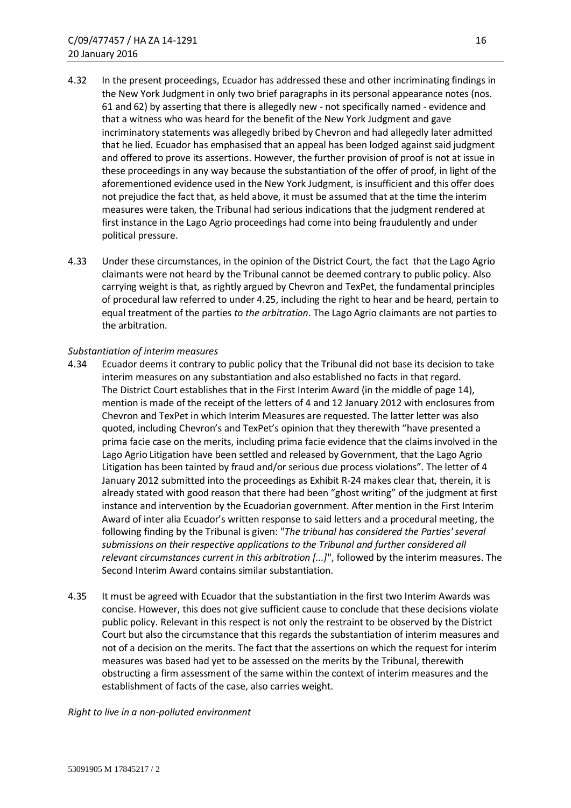- 4.32 In the present proceedings, Ecuador has addressed these and other incriminating findings in the New York Judgment in only two brief paragraphs in its personal appearance notes (nos. 61 and 62) by asserting that there is allegedly new - not specifically named - evidence and that a witness who was heard for the benefit of the New York Judgment and gave incriminatory statements was allegedly bribed by Chevron and had allegedly later admitted that he lied. Ecuador has emphasised that an appeal has been lodged against said judgment and offered to prove its assertions. However, the further provision of proof is not at issue in these proceedings in any way because the substantiation of the offer of proof, in light of the aforementioned evidence used in the New York Judgment, is insufficient and this offer does not prejudice the fact that, as held above, it must be assumed that at the time the interim measures were taken, the Tribunal had serious indications that the judgment rendered at first instance in the Lago Agrio proceedings had come into being fraudulently and under political pressure.
- 4.33 Under these circumstances, in the opinion of the District Court, the fact that the Lago Agrio claimants were not heard by the Tribunal cannot be deemed contrary to public policy. Also carrying weight is that, as rightly argued by Chevron and TexPet, the fundamental principles of procedural law referred to under 4.25, including the right to hear and be heard, pertain to equal treatment of the parties *to the arbitration*. The Lago Agrio claimants are not parties to the arbitration.

#### *Substantiation of interim measures*

- 4.34 Ecuador deems it contrary to public policy that the Tribunal did not base its decision to take interim measures on any substantiation and also established no facts in that regard. The District Court establishes that in the First Interim Award (in the middle of page 14), mention is made of the receipt of the letters of 4 and 12 January 2012 with enclosures from Chevron and TexPet in which Interim Measures are requested. The latter letter was also quoted, including Chevron's and TexPet's opinion that they therewith "have presented a prima facie case on the merits, including prima facie evidence that the claims involved in the Lago Agrio Litigation have been settled and released by Government, that the Lago Agrio Litigation has been tainted by fraud and/or serious due process violations". The letter of 4 January 2012 submitted into the proceedings as Exhibit R-24 makes clear that, therein, it is already stated with good reason that there had been "ghost writing" of the judgment at first instance and intervention by the Ecuadorian government. After mention in the First Interim Award of inter alia Ecuador's written response to said letters and a procedural meeting, the following finding by the Tribunal is given: "*The tribunal has considered the Parties' several submissions on their respective applications to the Tribunal and further considered all relevant circumstances current in this arbitration [...]*", followed by the interim measures. The Second Interim Award contains similar substantiation.
- 4.35 It must be agreed with Ecuador that the substantiation in the first two Interim Awards was concise. However, this does not give sufficient cause to conclude that these decisions violate public policy. Relevant in this respect is not only the restraint to be observed by the District Court but also the circumstance that this regards the substantiation of interim measures and not of a decision on the merits. The fact that the assertions on which the request for interim measures was based had yet to be assessed on the merits by the Tribunal, therewith obstructing a firm assessment of the same within the context of interim measures and the establishment of facts of the case, also carries weight.

#### *Right to live in a non-polluted environment*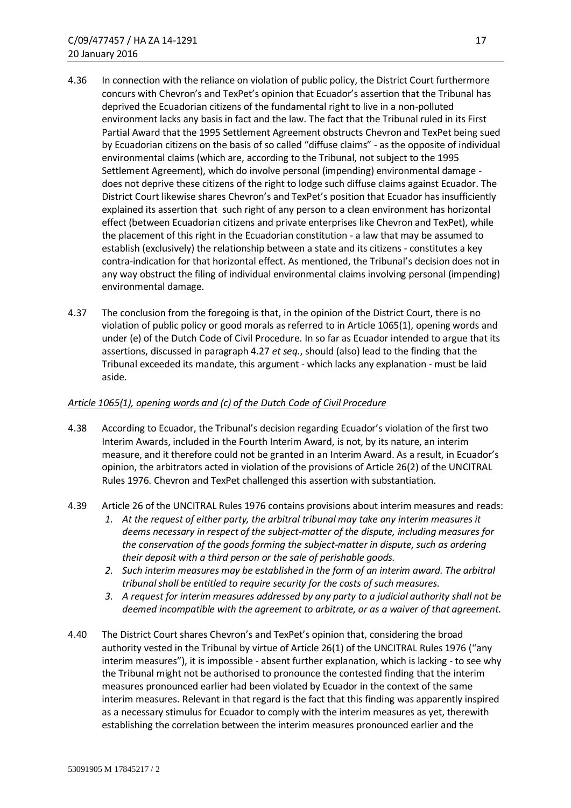- 4.36 In connection with the reliance on violation of public policy, the District Court furthermore concurs with Chevron's and TexPet's opinion that Ecuador's assertion that the Tribunal has deprived the Ecuadorian citizens of the fundamental right to live in a non-polluted environment lacks any basis in fact and the law. The fact that the Tribunal ruled in its First Partial Award that the 1995 Settlement Agreement obstructs Chevron and TexPet being sued by Ecuadorian citizens on the basis of so called "diffuse claims" - as the opposite of individual environmental claims (which are, according to the Tribunal, not subject to the 1995 Settlement Agreement), which do involve personal (impending) environmental damage does not deprive these citizens of the right to lodge such diffuse claims against Ecuador. The District Court likewise shares Chevron's and TexPet's position that Ecuador has insufficiently explained its assertion that such right of any person to a clean environment has horizontal effect (between Ecuadorian citizens and private enterprises like Chevron and TexPet), while the placement of this right in the Ecuadorian constitution - a law that may be assumed to establish (exclusively) the relationship between a state and its citizens - constitutes a key contra-indication for that horizontal effect. As mentioned, the Tribunal's decision does not in any way obstruct the filing of individual environmental claims involving personal (impending) environmental damage.
- 4.37 The conclusion from the foregoing is that, in the opinion of the District Court, there is no violation of public policy or good morals as referred to in Article 1065(1), opening words and under (e) of the Dutch Code of Civil Procedure. In so far as Ecuador intended to argue that its assertions, discussed in paragraph 4.27 *et seq.*, should (also) lead to the finding that the Tribunal exceeded its mandate, this argument - which lacks any explanation - must be laid aside.

#### *Article 1065(1), opening words and (c) of the Dutch Code of Civil Procedure*

- 4.38 According to Ecuador, the Tribunal's decision regarding Ecuador's violation of the first two Interim Awards, included in the Fourth Interim Award, is not, by its nature, an interim measure, and it therefore could not be granted in an Interim Award. As a result, in Ecuador's opinion, the arbitrators acted in violation of the provisions of Article 26(2) of the UNCITRAL Rules 1976. Chevron and TexPet challenged this assertion with substantiation.
- 4.39 Article 26 of the UNCITRAL Rules 1976 contains provisions about interim measures and reads:
	- *1. At the request of either party, the arbitral tribunal may take any interim measures it deems necessary in respect of the subject-matter of the dispute, including measures for the conservation of the goods forming the subject-matter in dispute, such as ordering their deposit with a third person or the sale of perishable goods.*
	- *2. Such interim measures may be established in the form of an interim award. The arbitral tribunal shall be entitled to require security for the costs of such measures.*
	- *3. A request for interim measures addressed by any party to a judicial authority shall not be deemed incompatible with the agreement to arbitrate, or as a waiver of that agreement.*
- 4.40 The District Court shares Chevron's and TexPet's opinion that, considering the broad authority vested in the Tribunal by virtue of Article 26(1) of the UNCITRAL Rules 1976 ("any interim measures"), it is impossible - absent further explanation, which is lacking - to see why the Tribunal might not be authorised to pronounce the contested finding that the interim measures pronounced earlier had been violated by Ecuador in the context of the same interim measures. Relevant in that regard is the fact that this finding was apparently inspired as a necessary stimulus for Ecuador to comply with the interim measures as yet, therewith establishing the correlation between the interim measures pronounced earlier and the